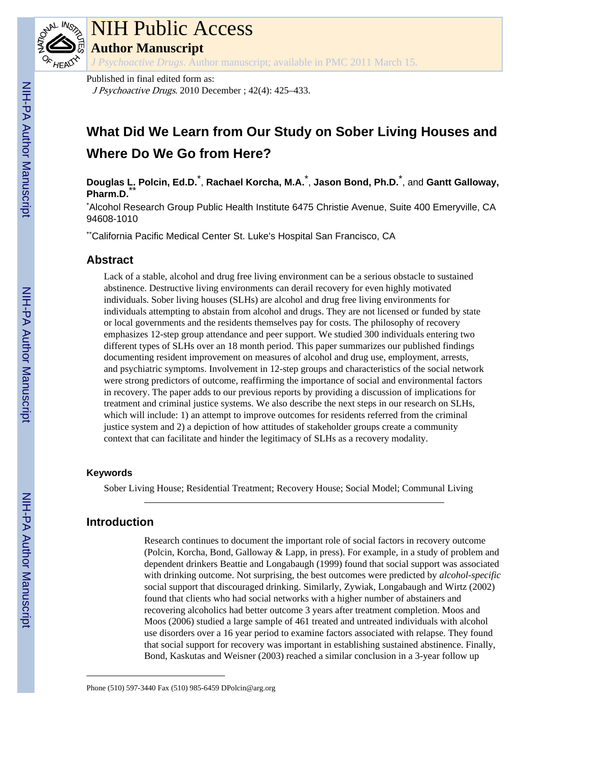

# NIH Public Access

**Author Manuscript**

*J Psychoactive Drugs*. Author manuscript; available in PMC 2011 March 15.

Published in final edited form as: J Psychoactive Drugs. 2010 December ; 42(4): 425–433.

## **What Did We Learn from Our Study on Sober Living Houses and Where Do We Go from Here?**

**Douglas L. Polcin, Ed.D.**\* , **Rachael Korcha, M.A.**\* , **Jason Bond, Ph.D.**\* , and **Gantt Galloway,** Pharm.D.

\*Alcohol Research Group Public Health Institute 6475 Christie Avenue, Suite 400 Emeryville, CA 94608-1010

\*\*California Pacific Medical Center St. Luke's Hospital San Francisco, CA

## **Abstract**

Lack of a stable, alcohol and drug free living environment can be a serious obstacle to sustained abstinence. Destructive living environments can derail recovery for even highly motivated individuals. Sober living houses (SLHs) are alcohol and drug free living environments for individuals attempting to abstain from alcohol and drugs. They are not licensed or funded by state or local governments and the residents themselves pay for costs. The philosophy of recovery emphasizes 12-step group attendance and peer support. We studied 300 individuals entering two different types of SLHs over an 18 month period. This paper summarizes our published findings documenting resident improvement on measures of alcohol and drug use, employment, arrests, and psychiatric symptoms. Involvement in 12-step groups and characteristics of the social network were strong predictors of outcome, reaffirming the importance of social and environmental factors in recovery. The paper adds to our previous reports by providing a discussion of implications for treatment and criminal justice systems. We also describe the next steps in our research on SLHs, which will include: 1) an attempt to improve outcomes for residents referred from the criminal justice system and 2) a depiction of how attitudes of stakeholder groups create a community context that can facilitate and hinder the legitimacy of SLHs as a recovery modality.

## **Keywords**

Sober Living House; Residential Treatment; Recovery House; Social Model; Communal Living

## **Introduction**

Research continues to document the important role of social factors in recovery outcome (Polcin, Korcha, Bond, Galloway & Lapp, in press). For example, in a study of problem and dependent drinkers Beattie and Longabaugh (1999) found that social support was associated with drinking outcome. Not surprising, the best outcomes were predicted by *alcohol-specific* social support that discouraged drinking. Similarly, Zywiak, Longabaugh and Wirtz (2002) found that clients who had social networks with a higher number of abstainers and recovering alcoholics had better outcome 3 years after treatment completion. Moos and Moos (2006) studied a large sample of 461 treated and untreated individuals with alcohol use disorders over a 16 year period to examine factors associated with relapse. They found that social support for recovery was important in establishing sustained abstinence. Finally, Bond, Kaskutas and Weisner (2003) reached a similar conclusion in a 3-year follow up

Phone (510) 597-3440 Fax (510) 985-6459 DPolcin@arg.org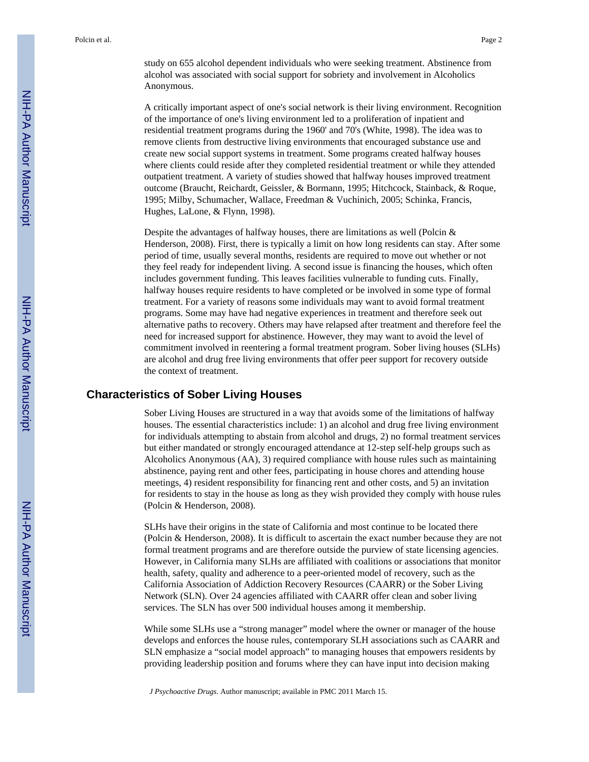study on 655 alcohol dependent individuals who were seeking treatment. Abstinence from alcohol was associated with social support for sobriety and involvement in Alcoholics Anonymous.

A critically important aspect of one's social network is their living environment. Recognition of the importance of one's living environment led to a proliferation of inpatient and residential treatment programs during the 1960' and 70's (White, 1998). The idea was to remove clients from destructive living environments that encouraged substance use and create new social support systems in treatment. Some programs created halfway houses where clients could reside after they completed residential treatment or while they attended outpatient treatment. A variety of studies showed that halfway houses improved treatment outcome (Braucht, Reichardt, Geissler, & Bormann, 1995; Hitchcock, Stainback, & Roque, 1995; Milby, Schumacher, Wallace, Freedman & Vuchinich, 2005; Schinka, Francis, Hughes, LaLone, & Flynn, 1998).

Despite the advantages of halfway houses, there are limitations as well (Polcin & Henderson, 2008). First, there is typically a limit on how long residents can stay. After some period of time, usually several months, residents are required to move out whether or not they feel ready for independent living. A second issue is financing the houses, which often includes government funding. This leaves facilities vulnerable to funding cuts. Finally, halfway houses require residents to have completed or be involved in some type of formal treatment. For a variety of reasons some individuals may want to avoid formal treatment programs. Some may have had negative experiences in treatment and therefore seek out alternative paths to recovery. Others may have relapsed after treatment and therefore feel the need for increased support for abstinence. However, they may want to avoid the level of commitment involved in reentering a formal treatment program. Sober living houses (SLHs) are alcohol and drug free living environments that offer peer support for recovery outside the context of treatment.

## **Characteristics of Sober Living Houses**

Sober Living Houses are structured in a way that avoids some of the limitations of halfway houses. The essential characteristics include: 1) an alcohol and drug free living environment for individuals attempting to abstain from alcohol and drugs, 2) no formal treatment services but either mandated or strongly encouraged attendance at 12-step self-help groups such as Alcoholics Anonymous (AA), 3) required compliance with house rules such as maintaining abstinence, paying rent and other fees, participating in house chores and attending house meetings, 4) resident responsibility for financing rent and other costs, and 5) an invitation for residents to stay in the house as long as they wish provided they comply with house rules (Polcin & Henderson, 2008).

SLHs have their origins in the state of California and most continue to be located there (Polcin & Henderson, 2008). It is difficult to ascertain the exact number because they are not formal treatment programs and are therefore outside the purview of state licensing agencies. However, in California many SLHs are affiliated with coalitions or associations that monitor health, safety, quality and adherence to a peer-oriented model of recovery, such as the California Association of Addiction Recovery Resources (CAARR) or the Sober Living Network (SLN). Over 24 agencies affiliated with CAARR offer clean and sober living services. The SLN has over 500 individual houses among it membership.

While some SLHs use a "strong manager" model where the owner or manager of the house develops and enforces the house rules, contemporary SLH associations such as CAARR and SLN emphasize a "social model approach" to managing houses that empowers residents by providing leadership position and forums where they can have input into decision making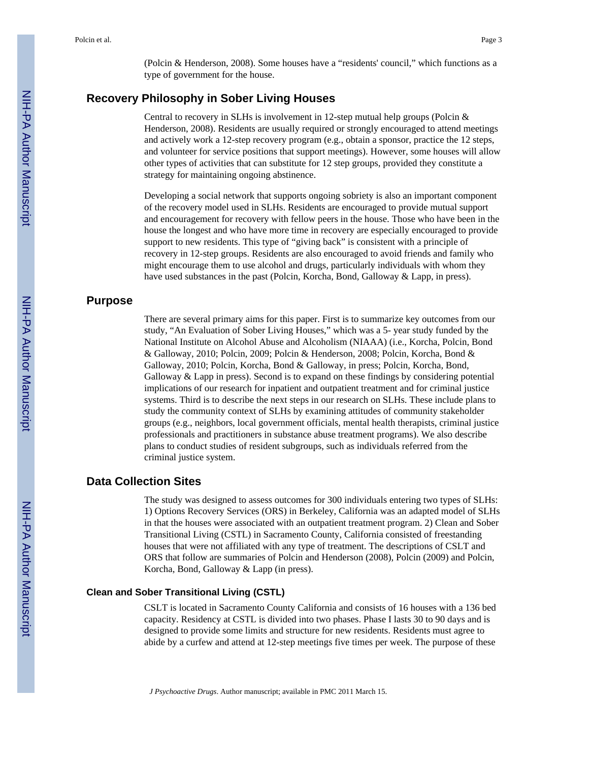(Polcin & Henderson, 2008). Some houses have a "residents' council," which functions as a type of government for the house.

## **Recovery Philosophy in Sober Living Houses**

Central to recovery in SLHs is involvement in 12-step mutual help groups (Polcin  $\&$ Henderson, 2008). Residents are usually required or strongly encouraged to attend meetings and actively work a 12-step recovery program (e.g., obtain a sponsor, practice the 12 steps, and volunteer for service positions that support meetings). However, some houses will allow other types of activities that can substitute for 12 step groups, provided they constitute a strategy for maintaining ongoing abstinence.

Developing a social network that supports ongoing sobriety is also an important component of the recovery model used in SLHs. Residents are encouraged to provide mutual support and encouragement for recovery with fellow peers in the house. Those who have been in the house the longest and who have more time in recovery are especially encouraged to provide support to new residents. This type of "giving back" is consistent with a principle of recovery in 12-step groups. Residents are also encouraged to avoid friends and family who might encourage them to use alcohol and drugs, particularly individuals with whom they have used substances in the past (Polcin, Korcha, Bond, Galloway & Lapp, in press).

## **Purpose**

There are several primary aims for this paper. First is to summarize key outcomes from our study, "An Evaluation of Sober Living Houses," which was a 5- year study funded by the National Institute on Alcohol Abuse and Alcoholism (NIAAA) (i.e., Korcha, Polcin, Bond & Galloway, 2010; Polcin, 2009; Polcin & Henderson, 2008; Polcin, Korcha, Bond & Galloway, 2010; Polcin, Korcha, Bond & Galloway, in press; Polcin, Korcha, Bond, Galloway  $&$  Lapp in press). Second is to expand on these findings by considering potential implications of our research for inpatient and outpatient treatment and for criminal justice systems. Third is to describe the next steps in our research on SLHs. These include plans to study the community context of SLHs by examining attitudes of community stakeholder groups (e.g., neighbors, local government officials, mental health therapists, criminal justice professionals and practitioners in substance abuse treatment programs). We also describe plans to conduct studies of resident subgroups, such as individuals referred from the criminal justice system.

## **Data Collection Sites**

The study was designed to assess outcomes for 300 individuals entering two types of SLHs: 1) Options Recovery Services (ORS) in Berkeley, California was an adapted model of SLHs in that the houses were associated with an outpatient treatment program. 2) Clean and Sober Transitional Living (CSTL) in Sacramento County, California consisted of freestanding houses that were not affiliated with any type of treatment. The descriptions of CSLT and ORS that follow are summaries of Polcin and Henderson (2008), Polcin (2009) and Polcin, Korcha, Bond, Galloway & Lapp (in press).

## **Clean and Sober Transitional Living (CSTL)**

CSLT is located in Sacramento County California and consists of 16 houses with a 136 bed capacity. Residency at CSTL is divided into two phases. Phase I lasts 30 to 90 days and is designed to provide some limits and structure for new residents. Residents must agree to abide by a curfew and attend at 12-step meetings five times per week. The purpose of these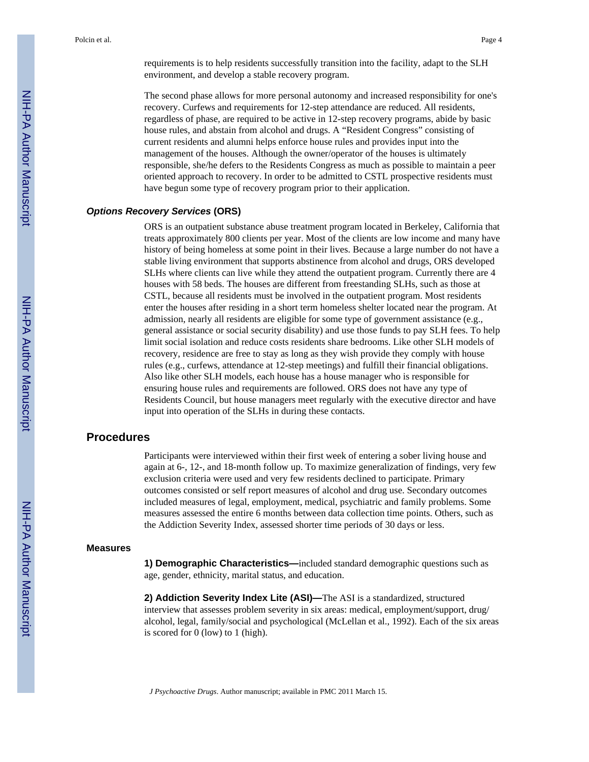requirements is to help residents successfully transition into the facility, adapt to the SLH environment, and develop a stable recovery program.

The second phase allows for more personal autonomy and increased responsibility for one's recovery. Curfews and requirements for 12-step attendance are reduced. All residents, regardless of phase, are required to be active in 12-step recovery programs, abide by basic house rules, and abstain from alcohol and drugs. A "Resident Congress" consisting of current residents and alumni helps enforce house rules and provides input into the management of the houses. Although the owner/operator of the houses is ultimately responsible, she/he defers to the Residents Congress as much as possible to maintain a peer oriented approach to recovery. In order to be admitted to CSTL prospective residents must have begun some type of recovery program prior to their application.

## *Options Recovery Services* **(ORS)**

ORS is an outpatient substance abuse treatment program located in Berkeley, California that treats approximately 800 clients per year. Most of the clients are low income and many have history of being homeless at some point in their lives. Because a large number do not have a stable living environment that supports abstinence from alcohol and drugs, ORS developed SLHs where clients can live while they attend the outpatient program. Currently there are 4 houses with 58 beds. The houses are different from freestanding SLHs, such as those at CSTL, because all residents must be involved in the outpatient program. Most residents enter the houses after residing in a short term homeless shelter located near the program. At admission, nearly all residents are eligible for some type of government assistance (e.g., general assistance or social security disability) and use those funds to pay SLH fees. To help limit social isolation and reduce costs residents share bedrooms. Like other SLH models of recovery, residence are free to stay as long as they wish provide they comply with house rules (e.g., curfews, attendance at 12-step meetings) and fulfill their financial obligations. Also like other SLH models, each house has a house manager who is responsible for ensuring house rules and requirements are followed. ORS does not have any type of Residents Council, but house managers meet regularly with the executive director and have input into operation of the SLHs in during these contacts.

## **Procedures**

Participants were interviewed within their first week of entering a sober living house and again at 6-, 12-, and 18-month follow up. To maximize generalization of findings, very few exclusion criteria were used and very few residents declined to participate. Primary outcomes consisted or self report measures of alcohol and drug use. Secondary outcomes included measures of legal, employment, medical, psychiatric and family problems. Some measures assessed the entire 6 months between data collection time points. Others, such as the Addiction Severity Index, assessed shorter time periods of 30 days or less.

#### **Measures**

**1) Demographic Characteristics—**included standard demographic questions such as age, gender, ethnicity, marital status, and education.

**2) Addiction Severity Index Lite (ASI)—**The ASI is a standardized, structured interview that assesses problem severity in six areas: medical, employment/support, drug/ alcohol, legal, family/social and psychological (McLellan et al., 1992). Each of the six areas is scored for 0 (low) to 1 (high).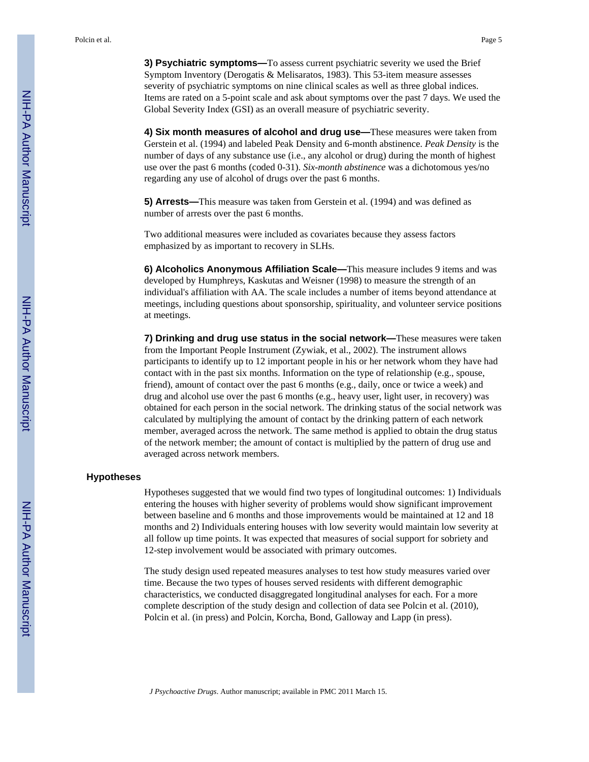**3) Psychiatric symptoms—**To assess current psychiatric severity we used the Brief Symptom Inventory (Derogatis & Melisaratos, 1983). This 53-item measure assesses severity of psychiatric symptoms on nine clinical scales as well as three global indices. Items are rated on a 5-point scale and ask about symptoms over the past 7 days. We used the Global Severity Index (GSI) as an overall measure of psychiatric severity.

**4) Six month measures of alcohol and drug use—**These measures were taken from Gerstein et al. (1994) and labeled Peak Density and 6-month abstinence. *Peak Density* is the number of days of any substance use (i.e., any alcohol or drug) during the month of highest use over the past 6 months (coded 0-31). *Six-month abstinence* was a dichotomous yes/no regarding any use of alcohol of drugs over the past 6 months.

**5) Arrests—**This measure was taken from Gerstein et al. (1994) and was defined as number of arrests over the past 6 months.

Two additional measures were included as covariates because they assess factors emphasized by as important to recovery in SLHs.

**6) Alcoholics Anonymous Affiliation Scale—**This measure includes 9 items and was developed by Humphreys, Kaskutas and Weisner (1998) to measure the strength of an individual's affiliation with AA. The scale includes a number of items beyond attendance at meetings, including questions about sponsorship, spirituality, and volunteer service positions at meetings.

**7) Drinking and drug use status in the social network—**These measures were taken from the Important People Instrument (Zywiak, et al., 2002). The instrument allows participants to identify up to 12 important people in his or her network whom they have had contact with in the past six months. Information on the type of relationship (e.g., spouse, friend), amount of contact over the past 6 months (e.g., daily, once or twice a week) and drug and alcohol use over the past 6 months (e.g., heavy user, light user, in recovery) was obtained for each person in the social network. The drinking status of the social network was calculated by multiplying the amount of contact by the drinking pattern of each network member, averaged across the network. The same method is applied to obtain the drug status of the network member; the amount of contact is multiplied by the pattern of drug use and averaged across network members.

#### **Hypotheses**

Hypotheses suggested that we would find two types of longitudinal outcomes: 1) Individuals entering the houses with higher severity of problems would show significant improvement between baseline and 6 months and those improvements would be maintained at 12 and 18 months and 2) Individuals entering houses with low severity would maintain low severity at all follow up time points. It was expected that measures of social support for sobriety and 12-step involvement would be associated with primary outcomes.

The study design used repeated measures analyses to test how study measures varied over time. Because the two types of houses served residents with different demographic characteristics, we conducted disaggregated longitudinal analyses for each. For a more complete description of the study design and collection of data see Polcin et al. (2010), Polcin et al. (in press) and Polcin, Korcha, Bond, Galloway and Lapp (in press).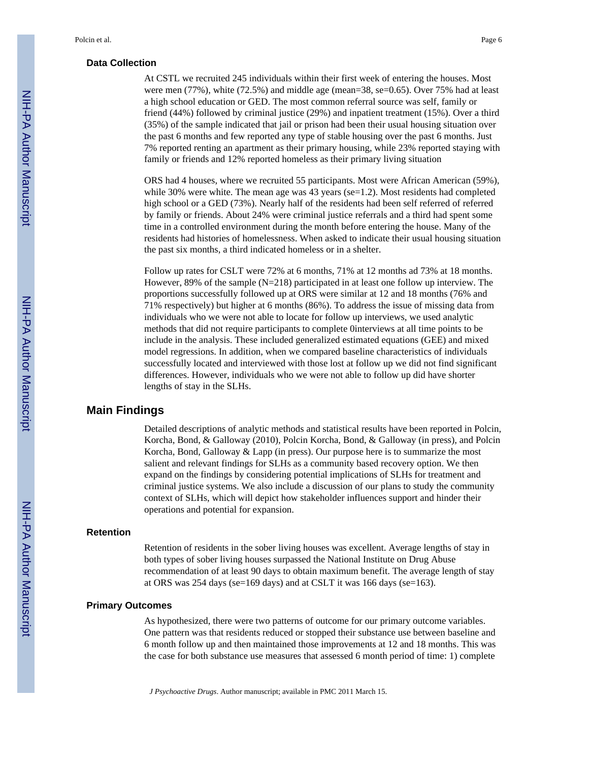#### **Data Collection**

At CSTL we recruited 245 individuals within their first week of entering the houses. Most were men (77%), white (72.5%) and middle age (mean=38, se=0.65). Over 75% had at least a high school education or GED. The most common referral source was self, family or friend (44%) followed by criminal justice (29%) and inpatient treatment (15%). Over a third (35%) of the sample indicated that jail or prison had been their usual housing situation over the past 6 months and few reported any type of stable housing over the past 6 months. Just 7% reported renting an apartment as their primary housing, while 23% reported staying with family or friends and 12% reported homeless as their primary living situation

ORS had 4 houses, where we recruited 55 participants. Most were African American (59%), while 30% were white. The mean age was 43 years (se=1.2). Most residents had completed high school or a GED (73%). Nearly half of the residents had been self referred of referred by family or friends. About 24% were criminal justice referrals and a third had spent some time in a controlled environment during the month before entering the house. Many of the residents had histories of homelessness. When asked to indicate their usual housing situation the past six months, a third indicated homeless or in a shelter.

Follow up rates for CSLT were 72% at 6 months, 71% at 12 months ad 73% at 18 months. However, 89% of the sample (N=218) participated in at least one follow up interview. The proportions successfully followed up at ORS were similar at 12 and 18 months (76% and 71% respectively) but higher at 6 months (86%). To address the issue of missing data from individuals who we were not able to locate for follow up interviews, we used analytic methods that did not require participants to complete 0interviews at all time points to be include in the analysis. These included generalized estimated equations (GEE) and mixed model regressions. In addition, when we compared baseline characteristics of individuals successfully located and interviewed with those lost at follow up we did not find significant differences. However, individuals who we were not able to follow up did have shorter lengths of stay in the SLHs.

## **Main Findings**

Detailed descriptions of analytic methods and statistical results have been reported in Polcin, Korcha, Bond, & Galloway (2010), Polcin Korcha, Bond, & Galloway (in press), and Polcin Korcha, Bond, Galloway & Lapp (in press). Our purpose here is to summarize the most salient and relevant findings for SLHs as a community based recovery option. We then expand on the findings by considering potential implications of SLHs for treatment and criminal justice systems. We also include a discussion of our plans to study the community context of SLHs, which will depict how stakeholder influences support and hinder their operations and potential for expansion.

#### **Retention**

Retention of residents in the sober living houses was excellent. Average lengths of stay in both types of sober living houses surpassed the National Institute on Drug Abuse recommendation of at least 90 days to obtain maximum benefit. The average length of stay at ORS was 254 days (se=169 days) and at CSLT it was 166 days (se=163).

#### **Primary Outcomes**

As hypothesized, there were two patterns of outcome for our primary outcome variables. One pattern was that residents reduced or stopped their substance use between baseline and 6 month follow up and then maintained those improvements at 12 and 18 months. This was the case for both substance use measures that assessed 6 month period of time: 1) complete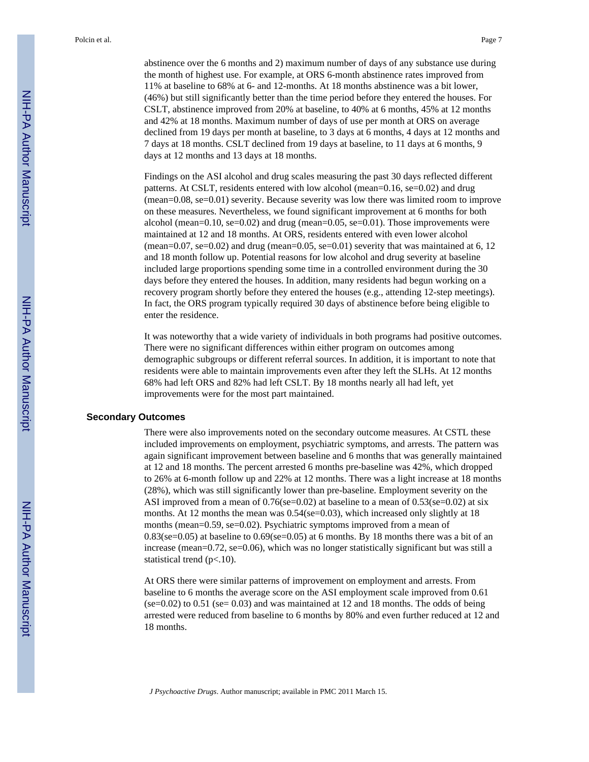abstinence over the 6 months and 2) maximum number of days of any substance use during the month of highest use. For example, at ORS 6-month abstinence rates improved from 11% at baseline to 68% at 6- and 12-months. At 18 months abstinence was a bit lower, (46%) but still significantly better than the time period before they entered the houses. For CSLT, abstinence improved from 20% at baseline, to 40% at 6 months, 45% at 12 months and 42% at 18 months. Maximum number of days of use per month at ORS on average declined from 19 days per month at baseline, to 3 days at 6 months, 4 days at 12 months and 7 days at 18 months. CSLT declined from 19 days at baseline, to 11 days at 6 months, 9 days at 12 months and 13 days at 18 months.

Findings on the ASI alcohol and drug scales measuring the past 30 days reflected different patterns. At CSLT, residents entered with low alcohol (mean=0.16, se=0.02) and drug (mean=0.08, se=0.01) severity. Because severity was low there was limited room to improve on these measures. Nevertheless, we found significant improvement at 6 months for both alcohol (mean=0.10, se=0.02) and drug (mean=0.05, se=0.01). Those improvements were maintained at 12 and 18 months. At ORS, residents entered with even lower alcohol (mean=0.07, se=0.02) and drug (mean=0.05, se=0.01) severity that was maintained at 6, 12 and 18 month follow up. Potential reasons for low alcohol and drug severity at baseline included large proportions spending some time in a controlled environment during the 30 days before they entered the houses. In addition, many residents had begun working on a recovery program shortly before they entered the houses (e.g., attending 12-step meetings). In fact, the ORS program typically required 30 days of abstinence before being eligible to enter the residence.

It was noteworthy that a wide variety of individuals in both programs had positive outcomes. There were no significant differences within either program on outcomes among demographic subgroups or different referral sources. In addition, it is important to note that residents were able to maintain improvements even after they left the SLHs. At 12 months 68% had left ORS and 82% had left CSLT. By 18 months nearly all had left, yet improvements were for the most part maintained.

#### **Secondary Outcomes**

There were also improvements noted on the secondary outcome measures. At CSTL these included improvements on employment, psychiatric symptoms, and arrests. The pattern was again significant improvement between baseline and 6 months that was generally maintained at 12 and 18 months. The percent arrested 6 months pre-baseline was 42%, which dropped to 26% at 6-month follow up and 22% at 12 months. There was a light increase at 18 months (28%), which was still significantly lower than pre-baseline. Employment severity on the ASI improved from a mean of  $0.76$ (se=0.02) at baseline to a mean of  $0.53$ (se=0.02) at six months. At 12 months the mean was 0.54(se=0.03), which increased only slightly at 18 months (mean=0.59, se=0.02). Psychiatric symptoms improved from a mean of  $0.83$ (se=0.05) at baseline to  $0.69$ (se=0.05) at 6 months. By 18 months there was a bit of an increase (mean=0.72, se=0.06), which was no longer statistically significant but was still a statistical trend (p<.10).

At ORS there were similar patterns of improvement on employment and arrests. From baseline to 6 months the average score on the ASI employment scale improved from 0.61  $($ se=0.02 $)$  to 0.51 (se=0.03) and was maintained at 12 and 18 months. The odds of being arrested were reduced from baseline to 6 months by 80% and even further reduced at 12 and 18 months.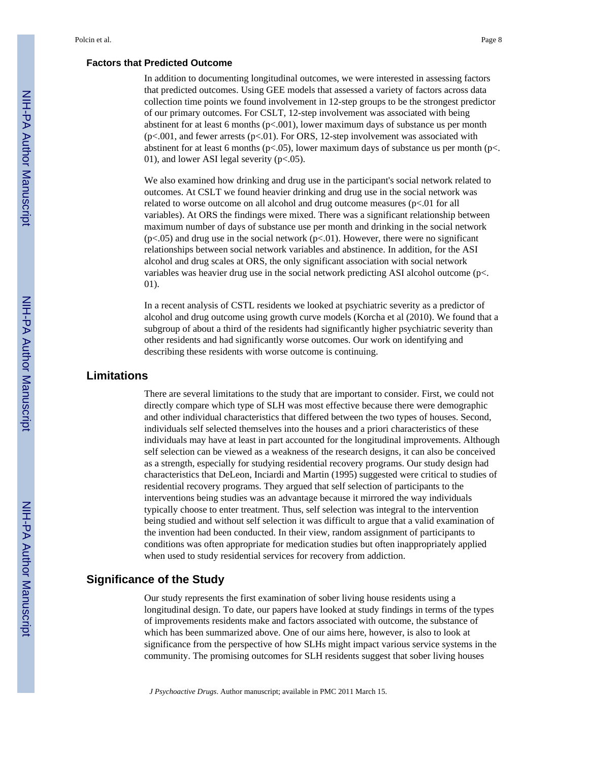#### **Factors that Predicted Outcome**

In addition to documenting longitudinal outcomes, we were interested in assessing factors that predicted outcomes. Using GEE models that assessed a variety of factors across data collection time points we found involvement in 12-step groups to be the strongest predictor of our primary outcomes. For CSLT, 12-step involvement was associated with being abstinent for at least 6 months  $(p<0.01)$ , lower maximum days of substance us per month (p<.001, and fewer arrests (p<.01). For ORS, 12-step involvement was associated with abstinent for at least 6 months ( $p$ <.05), lower maximum days of substance us per month ( $p$ <. 01), and lower ASI legal severity (p<.05).

We also examined how drinking and drug use in the participant's social network related to outcomes. At CSLT we found heavier drinking and drug use in the social network was related to worse outcome on all alcohol and drug outcome measures  $(p<0.01$  for all variables). At ORS the findings were mixed. There was a significant relationship between maximum number of days of substance use per month and drinking in the social network  $(p<.05)$  and drug use in the social network  $(p<.01)$ . However, there were no significant relationships between social network variables and abstinence. In addition, for the ASI alcohol and drug scales at ORS, the only significant association with social network variables was heavier drug use in the social network predicting ASI alcohol outcome (p<. 01).

In a recent analysis of CSTL residents we looked at psychiatric severity as a predictor of alcohol and drug outcome using growth curve models (Korcha et al (2010). We found that a subgroup of about a third of the residents had significantly higher psychiatric severity than other residents and had significantly worse outcomes. Our work on identifying and describing these residents with worse outcome is continuing.

## **Limitations**

There are several limitations to the study that are important to consider. First, we could not directly compare which type of SLH was most effective because there were demographic and other individual characteristics that differed between the two types of houses. Second, individuals self selected themselves into the houses and a priori characteristics of these individuals may have at least in part accounted for the longitudinal improvements. Although self selection can be viewed as a weakness of the research designs, it can also be conceived as a strength, especially for studying residential recovery programs. Our study design had characteristics that DeLeon, Inciardi and Martin (1995) suggested were critical to studies of residential recovery programs. They argued that self selection of participants to the interventions being studies was an advantage because it mirrored the way individuals typically choose to enter treatment. Thus, self selection was integral to the intervention being studied and without self selection it was difficult to argue that a valid examination of the invention had been conducted. In their view, random assignment of participants to conditions was often appropriate for medication studies but often inappropriately applied when used to study residential services for recovery from addiction.

## **Significance of the Study**

Our study represents the first examination of sober living house residents using a longitudinal design. To date, our papers have looked at study findings in terms of the types of improvements residents make and factors associated with outcome, the substance of which has been summarized above. One of our aims here, however, is also to look at significance from the perspective of how SLHs might impact various service systems in the community. The promising outcomes for SLH residents suggest that sober living houses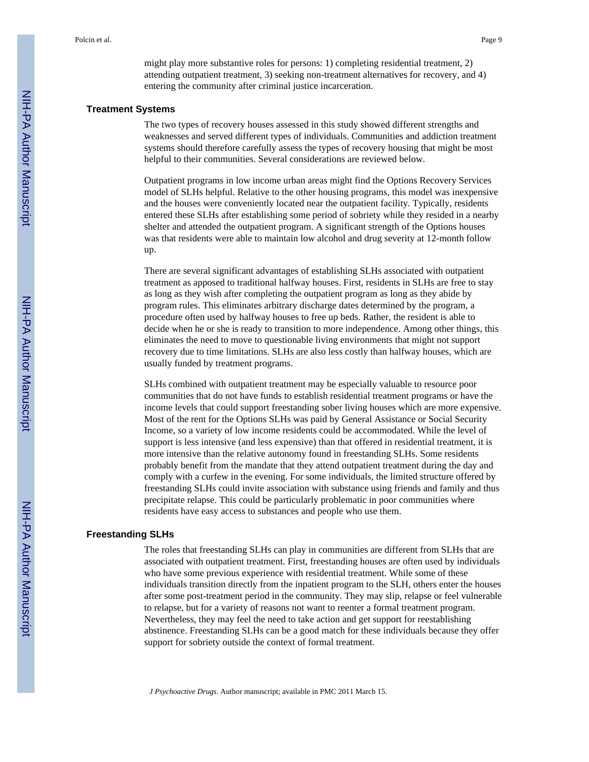might play more substantive roles for persons: 1) completing residential treatment, 2) attending outpatient treatment, 3) seeking non-treatment alternatives for recovery, and 4) entering the community after criminal justice incarceration.

#### **Treatment Systems**

The two types of recovery houses assessed in this study showed different strengths and weaknesses and served different types of individuals. Communities and addiction treatment systems should therefore carefully assess the types of recovery housing that might be most helpful to their communities. Several considerations are reviewed below.

Outpatient programs in low income urban areas might find the Options Recovery Services model of SLHs helpful. Relative to the other housing programs, this model was inexpensive and the houses were conveniently located near the outpatient facility. Typically, residents entered these SLHs after establishing some period of sobriety while they resided in a nearby shelter and attended the outpatient program. A significant strength of the Options houses was that residents were able to maintain low alcohol and drug severity at 12-month follow up.

There are several significant advantages of establishing SLHs associated with outpatient treatment as apposed to traditional halfway houses. First, residents in SLHs are free to stay as long as they wish after completing the outpatient program as long as they abide by program rules. This eliminates arbitrary discharge dates determined by the program, a procedure often used by halfway houses to free up beds. Rather, the resident is able to decide when he or she is ready to transition to more independence. Among other things, this eliminates the need to move to questionable living environments that might not support recovery due to time limitations. SLHs are also less costly than halfway houses, which are usually funded by treatment programs.

SLHs combined with outpatient treatment may be especially valuable to resource poor communities that do not have funds to establish residential treatment programs or have the income levels that could support freestanding sober living houses which are more expensive. Most of the rent for the Options SLHs was paid by General Assistance or Social Security Income, so a variety of low income residents could be accommodated. While the level of support is less intensive (and less expensive) than that offered in residential treatment, it is more intensive than the relative autonomy found in freestanding SLHs. Some residents probably benefit from the mandate that they attend outpatient treatment during the day and comply with a curfew in the evening. For some individuals, the limited structure offered by freestanding SLHs could invite association with substance using friends and family and thus precipitate relapse. This could be particularly problematic in poor communities where residents have easy access to substances and people who use them.

#### **Freestanding SLHs**

The roles that freestanding SLHs can play in communities are different from SLHs that are associated with outpatient treatment. First, freestanding houses are often used by individuals who have some previous experience with residential treatment. While some of these individuals transition directly from the inpatient program to the SLH, others enter the houses after some post-treatment period in the community. They may slip, relapse or feel vulnerable to relapse, but for a variety of reasons not want to reenter a formal treatment program. Nevertheless, they may feel the need to take action and get support for reestablishing abstinence. Freestanding SLHs can be a good match for these individuals because they offer support for sobriety outside the context of formal treatment.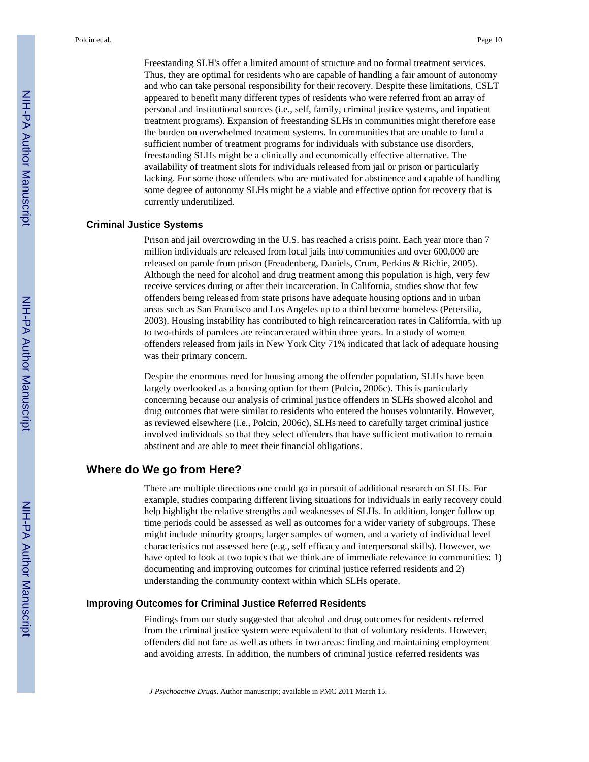Freestanding SLH's offer a limited amount of structure and no formal treatment services. Thus, they are optimal for residents who are capable of handling a fair amount of autonomy and who can take personal responsibility for their recovery. Despite these limitations, CSLT appeared to benefit many different types of residents who were referred from an array of personal and institutional sources (i.e., self, family, criminal justice systems, and inpatient treatment programs). Expansion of freestanding SLHs in communities might therefore ease the burden on overwhelmed treatment systems. In communities that are unable to fund a sufficient number of treatment programs for individuals with substance use disorders, freestanding SLHs might be a clinically and economically effective alternative. The availability of treatment slots for individuals released from jail or prison or particularly lacking. For some those offenders who are motivated for abstinence and capable of handling some degree of autonomy SLHs might be a viable and effective option for recovery that is currently underutilized.

#### **Criminal Justice Systems**

Prison and jail overcrowding in the U.S. has reached a crisis point. Each year more than 7 million individuals are released from local jails into communities and over 600,000 are released on parole from prison (Freudenberg, Daniels, Crum, Perkins & Richie, 2005). Although the need for alcohol and drug treatment among this population is high, very few receive services during or after their incarceration. In California, studies show that few offenders being released from state prisons have adequate housing options and in urban areas such as San Francisco and Los Angeles up to a third become homeless (Petersilia, 2003). Housing instability has contributed to high reincarceration rates in California, with up to two-thirds of parolees are reincarcerated within three years. In a study of women offenders released from jails in New York City 71% indicated that lack of adequate housing was their primary concern.

Despite the enormous need for housing among the offender population, SLHs have been largely overlooked as a housing option for them (Polcin, 2006c). This is particularly concerning because our analysis of criminal justice offenders in SLHs showed alcohol and drug outcomes that were similar to residents who entered the houses voluntarily. However, as reviewed elsewhere (i.e., Polcin, 2006c), SLHs need to carefully target criminal justice involved individuals so that they select offenders that have sufficient motivation to remain abstinent and are able to meet their financial obligations.

## **Where do We go from Here?**

There are multiple directions one could go in pursuit of additional research on SLHs. For example, studies comparing different living situations for individuals in early recovery could help highlight the relative strengths and weaknesses of SLHs. In addition, longer follow up time periods could be assessed as well as outcomes for a wider variety of subgroups. These might include minority groups, larger samples of women, and a variety of individual level characteristics not assessed here (e.g., self efficacy and interpersonal skills). However, we have opted to look at two topics that we think are of immediate relevance to communities: 1) documenting and improving outcomes for criminal justice referred residents and 2) understanding the community context within which SLHs operate.

#### **Improving Outcomes for Criminal Justice Referred Residents**

Findings from our study suggested that alcohol and drug outcomes for residents referred from the criminal justice system were equivalent to that of voluntary residents. However, offenders did not fare as well as others in two areas: finding and maintaining employment and avoiding arrests. In addition, the numbers of criminal justice referred residents was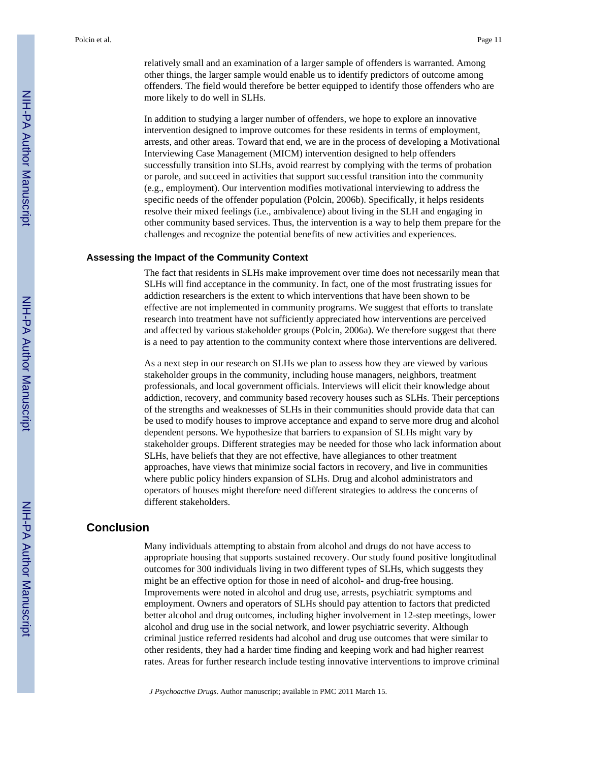relatively small and an examination of a larger sample of offenders is warranted. Among other things, the larger sample would enable us to identify predictors of outcome among offenders. The field would therefore be better equipped to identify those offenders who are more likely to do well in SLHs.

In addition to studying a larger number of offenders, we hope to explore an innovative intervention designed to improve outcomes for these residents in terms of employment, arrests, and other areas. Toward that end, we are in the process of developing a Motivational Interviewing Case Management (MICM) intervention designed to help offenders successfully transition into SLHs, avoid rearrest by complying with the terms of probation or parole, and succeed in activities that support successful transition into the community (e.g., employment). Our intervention modifies motivational interviewing to address the specific needs of the offender population (Polcin, 2006b). Specifically, it helps residents resolve their mixed feelings (i.e., ambivalence) about living in the SLH and engaging in other community based services. Thus, the intervention is a way to help them prepare for the challenges and recognize the potential benefits of new activities and experiences.

## **Assessing the Impact of the Community Context**

The fact that residents in SLHs make improvement over time does not necessarily mean that SLHs will find acceptance in the community. In fact, one of the most frustrating issues for addiction researchers is the extent to which interventions that have been shown to be effective are not implemented in community programs. We suggest that efforts to translate research into treatment have not sufficiently appreciated how interventions are perceived and affected by various stakeholder groups (Polcin, 2006a). We therefore suggest that there is a need to pay attention to the community context where those interventions are delivered.

As a next step in our research on SLHs we plan to assess how they are viewed by various stakeholder groups in the community, including house managers, neighbors, treatment professionals, and local government officials. Interviews will elicit their knowledge about addiction, recovery, and community based recovery houses such as SLHs. Their perceptions of the strengths and weaknesses of SLHs in their communities should provide data that can be used to modify houses to improve acceptance and expand to serve more drug and alcohol dependent persons. We hypothesize that barriers to expansion of SLHs might vary by stakeholder groups. Different strategies may be needed for those who lack information about SLHs, have beliefs that they are not effective, have allegiances to other treatment approaches, have views that minimize social factors in recovery, and live in communities where public policy hinders expansion of SLHs. Drug and alcohol administrators and operators of houses might therefore need different strategies to address the concerns of different stakeholders.

## **Conclusion**

Many individuals attempting to abstain from alcohol and drugs do not have access to appropriate housing that supports sustained recovery. Our study found positive longitudinal outcomes for 300 individuals living in two different types of SLHs, which suggests they might be an effective option for those in need of alcohol- and drug-free housing. Improvements were noted in alcohol and drug use, arrests, psychiatric symptoms and employment. Owners and operators of SLHs should pay attention to factors that predicted better alcohol and drug outcomes, including higher involvement in 12-step meetings, lower alcohol and drug use in the social network, and lower psychiatric severity. Although criminal justice referred residents had alcohol and drug use outcomes that were similar to other residents, they had a harder time finding and keeping work and had higher rearrest rates. Areas for further research include testing innovative interventions to improve criminal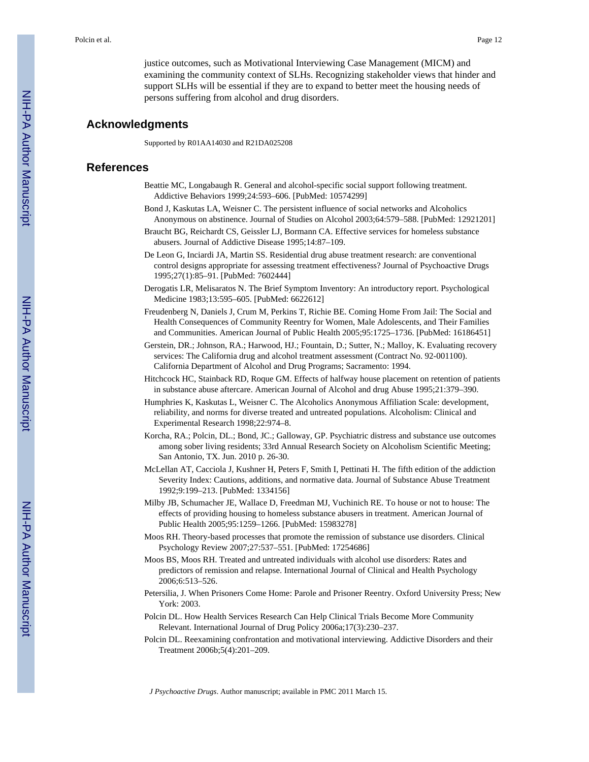justice outcomes, such as Motivational Interviewing Case Management (MICM) and examining the community context of SLHs. Recognizing stakeholder views that hinder and support SLHs will be essential if they are to expand to better meet the housing needs of persons suffering from alcohol and drug disorders.

#### **Acknowledgments**

Supported by R01AA14030 and R21DA025208

#### **References**

- Beattie MC, Longabaugh R. General and alcohol-specific social support following treatment. Addictive Behaviors 1999;24:593–606. [PubMed: 10574299]
- Bond J, Kaskutas LA, Weisner C. The persistent influence of social networks and Alcoholics Anonymous on abstinence. Journal of Studies on Alcohol 2003;64:579–588. [PubMed: 12921201]
- Braucht BG, Reichardt CS, Geissler LJ, Bormann CA. Effective services for homeless substance abusers. Journal of Addictive Disease 1995;14:87–109.
- De Leon G, Inciardi JA, Martin SS. Residential drug abuse treatment research: are conventional control designs appropriate for assessing treatment effectiveness? Journal of Psychoactive Drugs 1995;27(1):85–91. [PubMed: 7602444]
- Derogatis LR, Melisaratos N. The Brief Symptom Inventory: An introductory report. Psychological Medicine 1983;13:595–605. [PubMed: 6622612]
- Freudenberg N, Daniels J, Crum M, Perkins T, Richie BE. Coming Home From Jail: The Social and Health Consequences of Community Reentry for Women, Male Adolescents, and Their Families and Communities. American Journal of Public Health 2005;95:1725–1736. [PubMed: 16186451]
- Gerstein, DR.; Johnson, RA.; Harwood, HJ.; Fountain, D.; Sutter, N.; Malloy, K. Evaluating recovery services: The California drug and alcohol treatment assessment (Contract No. 92-001100). California Department of Alcohol and Drug Programs; Sacramento: 1994.
- Hitchcock HC, Stainback RD, Roque GM. Effects of halfway house placement on retention of patients in substance abuse aftercare. American Journal of Alcohol and drug Abuse 1995;21:379–390.
- Humphries K, Kaskutas L, Weisner C. The Alcoholics Anonymous Affiliation Scale: development, reliability, and norms for diverse treated and untreated populations. Alcoholism: Clinical and Experimental Research 1998;22:974–8.
- Korcha, RA.; Polcin, DL.; Bond, JC.; Galloway, GP. Psychiatric distress and substance use outcomes among sober living residents; 33rd Annual Research Society on Alcoholism Scientific Meeting; San Antonio, TX. Jun. 2010 p. 26-30.
- McLellan AT, Cacciola J, Kushner H, Peters F, Smith I, Pettinati H. The fifth edition of the addiction Severity Index: Cautions, additions, and normative data. Journal of Substance Abuse Treatment 1992;9:199–213. [PubMed: 1334156]
- Milby JB, Schumacher JE, Wallace D, Freedman MJ, Vuchinich RE. To house or not to house: The effects of providing housing to homeless substance abusers in treatment. American Journal of Public Health 2005;95:1259–1266. [PubMed: 15983278]
- Moos RH. Theory-based processes that promote the remission of substance use disorders. Clinical Psychology Review 2007;27:537–551. [PubMed: 17254686]
- Moos BS, Moos RH. Treated and untreated individuals with alcohol use disorders: Rates and predictors of remission and relapse. International Journal of Clinical and Health Psychology 2006;6:513–526.
- Petersilia, J. When Prisoners Come Home: Parole and Prisoner Reentry. Oxford University Press; New York: 2003.
- Polcin DL. How Health Services Research Can Help Clinical Trials Become More Community Relevant. International Journal of Drug Policy 2006a;17(3):230–237.
- Polcin DL. Reexamining confrontation and motivational interviewing. Addictive Disorders and their Treatment 2006b;5(4):201–209.